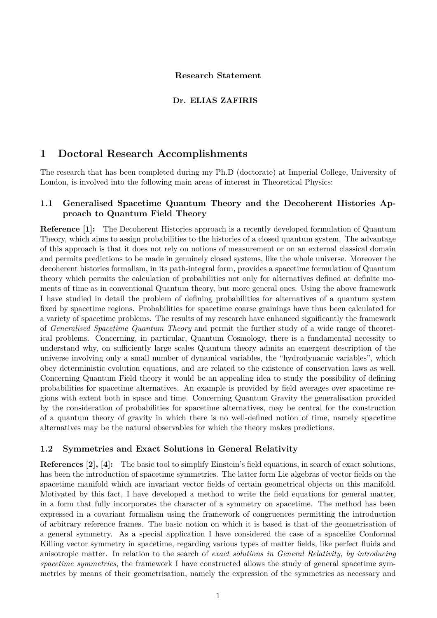#### **Research Statement**

#### **Dr. ELIAS ZAFIRIS**

# **1 Doctoral Research Accomplishments**

The research that has been completed during my Ph.D (doctorate) at Imperial College, University of London, is involved into the following main areas of interest in Theoretical Physics:

### **1.1 Generalised Spacetime Quantum Theory and the Decoherent Histories Approach to Quantum Field Theory**

**Reference [1]:** The Decoherent Histories approach is a recently developed formulation of Quantum Theory, which aims to assign probabilities to the histories of a closed quantum system. The advantage of this approach is that it does not rely on notions of measurement or on an external classical domain and permits predictions to be made in genuinely closed systems, like the whole universe. Moreover the decoherent histories formalism, in its path-integral form, provides a spacetime formulation of Quantum theory which permits the calculation of probabilities not only for alternatives defined at definite moments of time as in conventional Quantum theory, but more general ones. Using the above framework I have studied in detail the problem of defining probabilities for alternatives of a quantum system fixed by spacetime regions. Probabilities for spacetime coarse grainings have thus been calculated for a variety of spacetime problems. The results of my research have enhanced significantly the framework of *Generalised Spacetime Quantum Theory* and permit the further study of a wide range of theoretical problems. Concerning, in particular, Quantum Cosmology, there is a fundamental necessity to understand why, on sufficiently large scales Quantum theory admits an emergent description of the universe involving only a small number of dynamical variables, the "hydrodynamic variables", which obey deterministic evolution equations, and are related to the existence of conservation laws as well. Concerning Quantum Field theory it would be an appealing idea to study the possibility of defining probabilities for spacetime alternatives. An example is provided by field averages over spacetime regions with extent both in space and time. Concerning Quantum Gravity the generalisation provided by the consideration of probabilities for spacetime alternatives, may be central for the construction of a quantum theory of gravity in which there is no well-defined notion of time, namely spacetime alternatives may be the natural observables for which the theory makes predictions.

#### **1.2 Symmetries and Exact Solutions in General Relativity**

**References [2], [4]:** The basic tool to simplify Einstein's field equations, in search of exact solutions, has been the introduction of spacetime symmetries. The latter form Lie algebras of vector fields on the spacetime manifold which are invariant vector fields of certain geometrical objects on this manifold. Motivated by this fact, I have developed a method to write the field equations for general matter, in a form that fully incorporates the character of a symmetry on spacetime. The method has been expressed in a covariant formalism using the framework of congruences permitting the introduction of arbitrary reference frames. The basic notion on which it is based is that of the geometrisation of a general symmetry. As a special application I have considered the case of a spacelike Conformal Killing vector symmetry in spacetime, regarding various types of matter fields, like perfect fluids and anisotropic matter. In relation to the search of *exact solutions in General Relativity, by introducing spacetime symmetries*, the framework I have constructed allows the study of general spacetime symmetries by means of their geometrisation, namely the expression of the symmetries as necessary and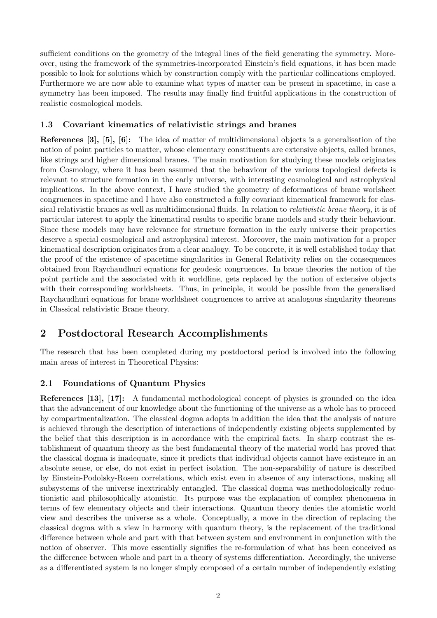sufficient conditions on the geometry of the integral lines of the field generating the symmetry. Moreover, using the framework of the symmetries-incorporated Einstein's field equations, it has been made possible to look for solutions which by construction comply with the particular collineations employed. Furthermore we are now able to examine what types of matter can be present in spacetime, in case a symmetry has been imposed. The results may finally find fruitful applications in the construction of realistic cosmological models.

#### **1.3 Covariant kinematics of relativistic strings and branes**

**References [3], [5], [6]:** The idea of matter of multidimensional objects is a generalisation of the notion of point particles to matter, whose elementary constituents are extensive objects, called branes, like strings and higher dimensional branes. The main motivation for studying these models originates from Cosmology, where it has been assumed that the behaviour of the various topological defects is relevant to structure formation in the early universe, with interesting cosmological and astrophysical implications. In the above context, I have studied the geometry of deformations of brane worlsheet congruences in spacetime and I have also constructed a fully covariant kinematical framework for classical relativistic branes as well as multidimensional fluids. In relation to *relativistic brane theory*, it is of particular interest to apply the kinematical results to specific brane models and study their behaviour. Since these models may have relevance for structure formation in the early universe their properties deserve a special cosmological and astrophysical interest. Moreover, the main motivation for a proper kinematical description originates from a clear analogy. To be concrete, it is well established today that the proof of the existence of spacetime singularities in General Relativity relies on the consequences obtained from Raychaudhuri equations for geodesic congruences. In brane theories the notion of the point particle and the associated with it worldline, gets replaced by the notion of extensive objects with their corresponding worldsheets. Thus, in principle, it would be possible from the generalised Raychaudhuri equations for brane worldsheet congruences to arrive at analogous singularity theorems in Classical relativistic Brane theory.

# **2 Postdoctoral Research Accomplishments**

The research that has been completed during my postdoctoral period is involved into the following main areas of interest in Theoretical Physics:

### **2.1 Foundations of Quantum Physics**

**References [13], [17]:** A fundamental methodological concept of physics is grounded on the idea that the advancement of our knowledge about the functioning of the universe as a whole has to proceed by compartmentalization. The classical dogma adopts in addition the idea that the analysis of nature is achieved through the description of interactions of independently existing objects supplemented by the belief that this description is in accordance with the empirical facts. In sharp contrast the establishment of quantum theory as the best fundamental theory of the material world has proved that the classical dogma is inadequate, since it predicts that individual objects cannot have existence in an absolute sense, or else, do not exist in perfect isolation. The non-separability of nature is described by Einstein-Podolsky-Rosen correlations, which exist even in absence of any interactions, making all subsystems of the universe inextricably entangled. The classical dogma was methodologically reductionistic and philosophically atomistic. Its purpose was the explanation of complex phenomena in terms of few elementary objects and their interactions. Quantum theory denies the atomistic world view and describes the universe as a whole. Conceptually, a move in the direction of replacing the classical dogma with a view in harmony with quantum theory, is the replacement of the traditional difference between whole and part with that between system and environment in conjunction with the notion of observer. This move essentially signifies the re-formulation of what has been conceived as the difference between whole and part in a theory of systems differentiation. Accordingly, the universe as a differentiated system is no longer simply composed of a certain number of independently existing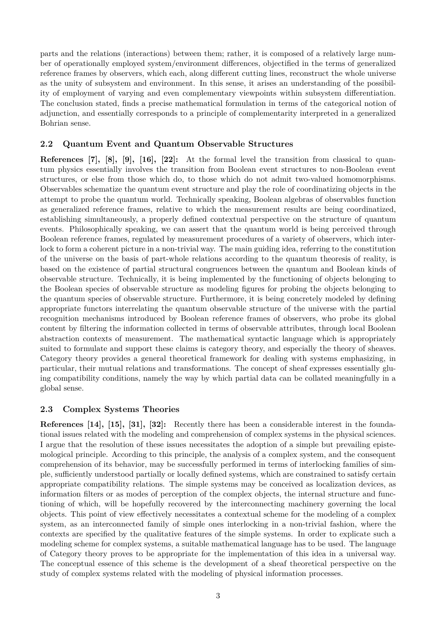parts and the relations (interactions) between them; rather, it is composed of a relatively large number of operationally employed system/environment differences, objectified in the terms of generalized reference frames by observers, which each, along different cutting lines, reconstruct the whole universe as the unity of subsystem and environment. In this sense, it arises an understanding of the possibility of employment of varying and even complementary viewpoints within subsystem differentiation. The conclusion stated, finds a precise mathematical formulation in terms of the categorical notion of adjunction, and essentially corresponds to a principle of complementarity interpreted in a generalized Bohrian sense.

# **2.2 Quantum Event and Quantum Observable Structures**

**References [7], [8], [9], [16], [22]:** At the formal level the transition from classical to quantum physics essentially involves the transition from Boolean event structures to non-Boolean event structures, or else from those which do, to those which do not admit two-valued homomorphisms. Observables schematize the quantum event structure and play the role of coordinatizing objects in the attempt to probe the quantum world. Technically speaking, Boolean algebras of observables function as generalized reference frames, relative to which the measurement results are being coordinatized, establishing simultaneously, a properly defined contextual perspective on the structure of quantum events. Philosophically speaking, we can assert that the quantum world is being perceived through Boolean reference frames, regulated by measurement procedures of a variety of observers, which interlock to form a coherent picture in a non-trivial way. The main guiding idea, referring to the constitution of the universe on the basis of part-whole relations according to the quantum theoresis of reality, is based on the existence of partial structural congruences between the quantum and Boolean kinds of observable structure. Technically, it is being implemented by the functioning of objects belonging to the Boolean species of observable structure as modeling figures for probing the objects belonging to the quantum species of observable structure. Furthermore, it is being concretely modeled by defining appropriate functors interrelating the quantum observable structure of the universe with the partial recognition mechanisms introduced by Boolean reference frames of observers, who probe its global content by filtering the information collected in terms of observable attributes, through local Boolean abstraction contexts of measurement. The mathematical syntactic language which is appropriately suited to formulate and support these claims is category theory, and especially the theory of sheaves. Category theory provides a general theoretical framework for dealing with systems emphasizing, in particular, their mutual relations and transformations. The concept of sheaf expresses essentially gluing compatibility conditions, namely the way by which partial data can be collated meaningfully in a global sense.

### **2.3 Complex Systems Theories**

**References [14], [15], [31], [32]:** Recently there has been a considerable interest in the foundational issues related with the modeling and comprehension of complex systems in the physical sciences. I argue that the resolution of these issues necessitates the adoption of a simple but prevailing epistemological principle. According to this principle, the analysis of a complex system, and the consequent comprehension of its behavior, may be successfully performed in terms of interlocking families of simple, sufficiently understood partially or locally defined systems, which are constrained to satisfy certain appropriate compatibility relations. The simple systems may be conceived as localization devices, as information filters or as modes of perception of the complex objects, the internal structure and functioning of which, will be hopefully recovered by the interconnecting machinery governing the local objects. This point of view effectively necessitates a contextual scheme for the modeling of a complex system, as an interconnected family of simple ones interlocking in a non-trivial fashion, where the contexts are specified by the qualitative features of the simple systems. In order to explicate such a modeling scheme for complex systems, a suitable mathematical language has to be used. The language of Category theory proves to be appropriate for the implementation of this idea in a universal way. The conceptual essence of this scheme is the development of a sheaf theoretical perspective on the study of complex systems related with the modeling of physical information processes.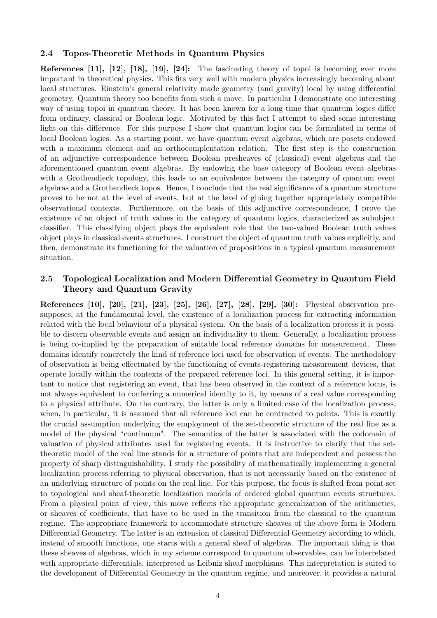#### **2.4 Topos-Theoretic Methods in Quantum Physics**

**References [11], [12], [18], [19], [24]:** The fascinating theory of topoi is becoming ever more important in theoretical physics. This fits very well with modern physics increasingly becoming about local structures. Einstein's general relativity made geometry (and gravity) local by using differential geometry. Quantum theory too benefits from such a move. In particular I demonstrate one interesting way of using topoi in quantum theory. It has been known for a long time that quantum logics differ from ordinary, classical or Boolean logic. Motivated by this fact I attempt to shed some interesting light on this difference. For this purpose I show that quantum logics can be formulated in terms of local Boolean logics. As a starting point, we have quantum event algebras, which are posets endowed with a maximum element and an orthocomplentation relation. The first step is the construction of an adjunctive correspondence between Boolean presheaves of (classical) event algebras and the aforementioned quantum event algebras. By endowing the base category of Boolean event algebras with a Grothendieck topology, this leads to an equivalence between the category of quantum event algebras and a Grothendieck topos. Hence, I conclude that the real significance of a quantum structure proves to be not at the level of events, but at the level of gluing together appropriately compatible observational contexts. Furthermore, on the basis of this adjunctive correspondence, I prove the existence of an object of truth values in the category of quantum logics, characterized as subobject classifier. This classifying object plays the equivalent role that the two-valued Boolean truth values object plays in classical events structures. I construct the object of quantum truth values explicitly, and then, demonstrate its functioning for the valuation of propositions in a typical quantum measurement situation.

#### **2.5 Topological Localization and Modern Differential Geometry in Quantum Field Theory and Quantum Gravity**

**References [10], [20], [21], [23], [25], [26], [27], [28], [29], [30]:** Physical observation presupposes, at the fundamental level, the existence of a localization process for extracting information related with the local behaviour of a physical system. On the basis of a localization process it is possible to discern observable events and assign an individuality to them. Generally, a localization process is being co-implied by the preparation of suitable local reference domains for measurement. These domains identify concretely the kind of reference loci used for observation of events. The methodology of observation is being effectuated by the functioning of events-registering measurement devices, that operate locally within the contexts of the prepared reference loci. In this general setting, it is important to notice that registering an event, that has been observed in the context of a reference locus, is not always equivalent to conferring a numerical identity to it, by means of a real value corresponding to a physical attribute. On the contrary, the latter is only a limited case of the localization process, when, in particular, it is assumed that all reference loci can be contracted to points. This is exactly the crucial assumption underlying the employment of the set-theoretic structure of the real line as a model of the physical "continuum". The semantics of the latter is associated with the codomain of valuation of physical attributes used for registering events. It is instructive to clarify that the settheoretic model of the real line stands for a structure of points that are independent and possess the property of sharp distinguishability. I study the possibility of mathematically implementing a general localization process referring to physical observation, that is not necessarily based on the existence of an underlying structure of points on the real line. For this purpose, the focus is shifted from point-set to topological and sheaf-theoretic localization models of ordered global quantum events structures. From a physical point of view, this move reflects the appropriate generalization of the arithmetics, or sheaves of coefficients, that have to be used in the transition from the classical to the quantum regime. The appropriate framework to accommodate structure sheaves of the above form is Modern Differential Geometry. The latter is an extension of classical Differential Geometry according to which, instead of smooth functions, one starts with a general sheaf of algebras. The important thing is that these sheaves of algebras, which in my scheme correspond to quantum observables, can be interrelated with appropriate differentials, interpreted as Leibniz sheaf morphisms. This interpretation is suited to the development of Differential Geometry in the quantum regime, and moreover, it provides a natural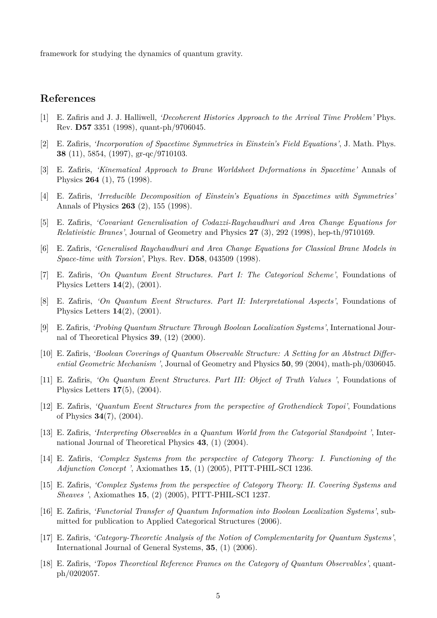framework for studying the dynamics of quantum gravity.

# **References**

- [1] E. Zafiris and J. J. Halliwell, *'Decoherent Histories Approach to the Arrival Time Problem'* Phys. Rev. **D57** 3351 (1998), quant-ph/9706045.
- [2] E. Zafiris, *'Incorporation of Spacetime Symmetries in Einstein's Field Equations'*, J. Math. Phys. **38** (11), 5854, (1997), gr-qc/9710103.
- [3] E. Zafiris, *'Kinematical Approach to Brane Worldsheet Deformations in Spacetime'* Annals of Physics **264** (1), 75 (1998).
- [4] E. Zafiris, *'Irreducible Decomposition of Einstein's Equations in Spacetimes with Symmetries'* Annals of Physics **263** (2), 155 (1998).
- [5] E. Zafiris, *'Covariant Generalisation of Codazzi-Raychaudhuri and Area Change Equations for Relativistic Branes'*, Journal of Geometry and Physics **27** (3), 292 (1998), hep-th/9710169.
- [6] E. Zafiris, *'Generalised Raychaudhuri and Area Change Equations for Classical Brane Models in Space-time with Torsion'*, Phys. Rev. **D58**, 043509 (1998).
- [7] E. Zafiris, *'On Quantum Event Structures. Part I: The Categorical Scheme'*, Foundations of Physics Letters **14**(2), (2001).
- [8] E. Zafiris, *'On Quantum Event Structures. Part II: Interpretational Aspects'*, Foundations of Physics Letters **14**(2), (2001).
- [9] E. Zafiris, *'Probing Quantum Structure Through Boolean Localization Systems'*, International Journal of Theoretical Physics **39**, (12) (2000).
- [10] E. Zafiris, *'Boolean Coverings of Quantum Observable Structure: A Setting for an Abstract Differential Geometric Mechanism '*, Journal of Geometry and Physics **50**, 99 (2004), math-ph/0306045.
- [11] E. Zafiris, *'On Quantum Event Structures. Part III: Object of Truth Values '*, Foundations of Physics Letters **17**(5), (2004).
- [12] E. Zafiris, *'Quantum Event Structures from the perspective of Grothendieck Topoi'*, Foundations of Physics **34**(7), (2004).
- [13] E. Zafiris, *'Interpreting Observables in a Quantum World from the Categorial Standpoint '*, International Journal of Theoretical Physics **43**, (1) (2004).
- [14] E. Zafiris, *'Complex Systems from the perspective of Category Theory: I. Functioning of the Adjunction Concept '*, Axiomathes **15**, (1) (2005), PITT-PHIL-SCI 1236.
- [15] E. Zafiris, *'Complex Systems from the perspective of Category Theory: II. Covering Systems and Sheaves '*, Axiomathes **15**, (2) (2005), PITT-PHIL-SCI 1237.
- [16] E. Zafiris, *'Functorial Transfer of Quantum Information into Boolean Localization Systems'*, submitted for publication to Applied Categorical Structures (2006).
- [17] E. Zafiris, *'Category-Theoretic Analysis of the Notion of Complementarity for Quantum Systems'*, International Journal of General Systems, **35**, (1) (2006).
- [18] E. Zafiris, *'Topos Theoretical Reference Frames on the Category of Quantum Observables'*, quantph/0202057.